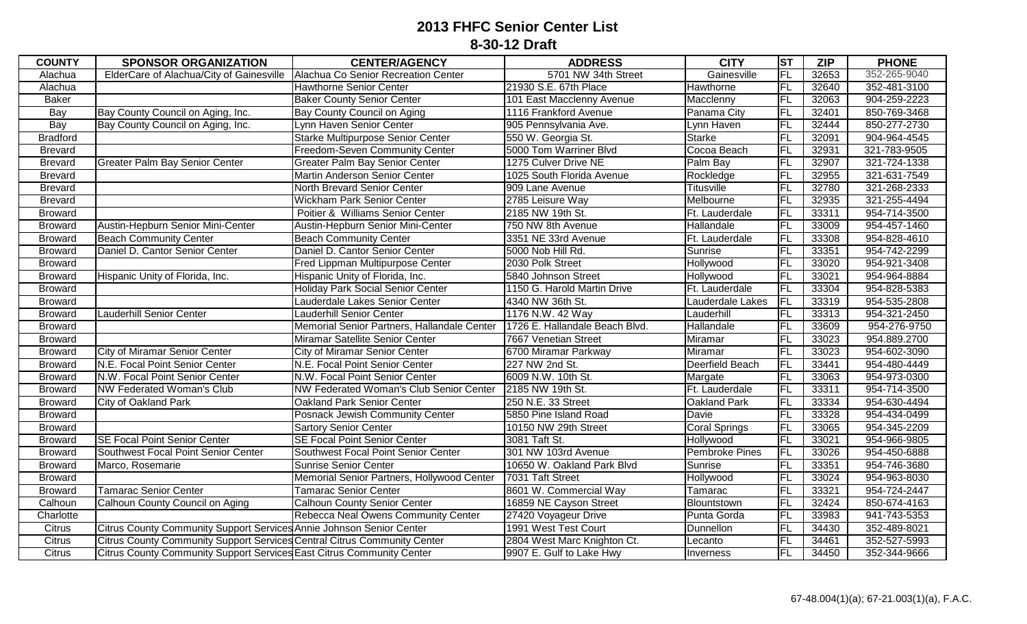| <b>COUNTY</b>   | <b>SPONSOR ORGANIZATION</b>                                              | <b>CENTER/AGENCY</b>                        | <b>ADDRESS</b>                 | <b>CITY</b>           | <b>ST</b> | <b>ZIP</b> | <b>PHONE</b> |
|-----------------|--------------------------------------------------------------------------|---------------------------------------------|--------------------------------|-----------------------|-----------|------------|--------------|
| Alachua         | ElderCare of Alachua/City of Gainesville                                 | Alachua Co Senior Recreation Center         | 5701 NW 34th Street            | Gainesville           | FL        | 32653      | 352-265-9040 |
| Alachua         |                                                                          | Hawthorne Senior Center                     | 21930 S.E. 67th Place          | Hawthorne             | FL        | 32640      | 352-481-3100 |
| <b>Baker</b>    |                                                                          | <b>Baker County Senior Center</b>           | 101 East Macclenny Avenue      | Macclenny             | FL        | 32063      | 904-259-2223 |
| Bay             | Bay County Council on Aging, Inc.                                        | Bay County Council on Aging                 | 1116 Frankford Avenue          | Panama City           | FL        | 32401      | 850-769-3468 |
| Bay             | Bay County Council on Aging, Inc.                                        | Lynn Haven Senior Center                    | 905 Pennsylvania Ave.          | Lynn Haven            | FL        | 32444      | 850-277-2730 |
| <b>Bradford</b> |                                                                          | Starke Multipurpose Senior Center           | 550 W. Georgia St.             | Starke                | FL        | 32091      | 904-964-4545 |
| <b>Brevard</b>  |                                                                          | <b>Freedom-Seven Community Center</b>       | 5000 Tom Warriner Blvd         | Cocoa Beach           | FL        | 32931      | 321-783-9505 |
| <b>Brevard</b>  | <b>Greater Palm Bay Senior Center</b>                                    | <b>Greater Palm Bay Senior Center</b>       | 1275 Culver Drive NE           | Palm Bay              | FL        | 32907      | 321-724-1338 |
| <b>Brevard</b>  |                                                                          | Martin Anderson Senior Center               | 1025 South Florida Avenue      | Rockledge             | FL        | 32955      | 321-631-7549 |
| <b>Brevard</b>  |                                                                          | North Brevard Senior Center                 | 909 Lane Avenue                | Titusville            | FL        | 32780      | 321-268-2333 |
| <b>Brevard</b>  |                                                                          | <b>Wickham Park Senior Center</b>           | 2785 Leisure Way               | Melbourne             | FL        | 32935      | 321-255-4494 |
| <b>Broward</b>  |                                                                          | Poitier & Williams Senior Center            | 2185 NW 19th St.               | Ft. Lauderdale        | FL        | 33311      | 954-714-3500 |
| <b>Broward</b>  | Austin-Hepburn Senior Mini-Center                                        | Austin-Hepburn Senior Mini-Center           | 750 NW 8th Avenue              | Hallandale            | FL        | 33009      | 954-457-1460 |
| <b>Broward</b>  | <b>Beach Community Center</b>                                            | <b>Beach Community Center</b>               | 3351 NE 33rd Avenue            | Ft. Lauderdale        | FL        | 33308      | 954-828-4610 |
| <b>Broward</b>  | Daniel D. Cantor Senior Center                                           | Daniel D. Cantor Senior Center              | 5000 Nob Hill Rd.              | Sunrise               | FL        | 33351      | 954-742-2299 |
| <b>Broward</b>  |                                                                          | Fred Lippman Multipurpose Center            | 2030 Polk Street               | Hollywood             | FL        | 33020      | 954-921-3408 |
| <b>Broward</b>  | Hispanic Unity of Florida, Inc.                                          | Hispanic Unity of Florida, Inc.             | 5840 Johnson Street            | Hollywood             | FL        | 33021      | 954-964-8884 |
| <b>Broward</b>  |                                                                          | <b>Holiday Park Social Senior Center</b>    | 1150 G. Harold Martin Drive    | Ft. Lauderdale        | FL        | 33304      | 954-828-5383 |
| <b>Broward</b>  |                                                                          | Lauderdale Lakes Senior Center              | 4340 NW 36th St.               | Lauderdale Lakes      | FL        | 33319      | 954-535-2808 |
| <b>Broward</b>  | <b>Lauderhill Senior Center</b>                                          | <b>Lauderhill Senior Center</b>             | 1176 N.W. 42 Way               | Lauderhill            | <b>FL</b> | 33313      | 954-321-2450 |
| <b>Broward</b>  |                                                                          | Memorial Senior Partners, Hallandale Center | 1726 E. Hallandale Beach Blvd. | Hallandale            | FL        | 33609      | 954-276-9750 |
| <b>Broward</b>  |                                                                          | Miramar Satellite Senior Center             | 7667 Venetian Street           | Miramar               | FL        | 33023      | 954.889.2700 |
| <b>Broward</b>  | <b>City of Miramar Senior Center</b>                                     | City of Miramar Senior Center               | 6700 Miramar Parkway           | Miramar               | FL        | 33023      | 954-602-3090 |
| <b>Broward</b>  | N.E. Focal Point Senior Center                                           | N.E. Focal Point Senior Center              | 227 NW 2nd St.                 | Deerfield Beach       | FL        | 33441      | 954-480-4449 |
| <b>Broward</b>  | N.W. Focal Point Senior Center                                           | N.W. Focal Point Senior Center              | 6009 N.W. 10th St.             | Margate               | FL        | 33063      | 954-973-0300 |
| <b>Broward</b>  | <b>NW Federated Woman's Club</b>                                         | NW Federated Woman's Club Senior Center     | 2185 NW 19th St.               | Ft. Lauderdale        | FL        | 33311      | 954-714-3500 |
| <b>Broward</b>  | <b>City of Oakland Park</b>                                              | Oakland Park Senior Center                  | 250 N.E. 33 Street             | Oakland Park          | FL        | 33334      | 954-630-4494 |
| <b>Broward</b>  |                                                                          | Posnack Jewish Community Center             | 5850 Pine Island Road          | Davie                 | FL        | 33328      | 954-434-0499 |
| <b>Broward</b>  |                                                                          | <b>Sartory Senior Center</b>                | 10150 NW 29th Street           | <b>Coral Springs</b>  | FL        | 33065      | 954-345-2209 |
| <b>Broward</b>  | <b>SE Focal Point Senior Center</b>                                      | <b>SE Focal Point Senior Center</b>         | 3081 Taft St.                  | Hollywood             | <b>FL</b> | 33021      | 954-966-9805 |
| <b>Broward</b>  | Southwest Focal Point Senior Center                                      | Southwest Focal Point Senior Center         | 301 NW 103rd Avenue            | <b>Pembroke Pines</b> | FL        | 33026      | 954-450-6888 |
| <b>Broward</b>  | Marco, Rosemarie                                                         | Sunrise Senior Center                       | 10650 W. Oakland Park Blvd     | Sunrise               | FL        | 33351      | 954-746-3680 |
| <b>Broward</b>  |                                                                          | Memorial Senior Partners, Hollywood Center  | 7031 Taft Street               | Hollywood             | FL        | 33024      | 954-963-8030 |
| <b>Broward</b>  | <b>Tamarac Senior Center</b>                                             | <b>Tamarac Senior Center</b>                | 8601 W. Commercial Way         | Tamarac               | FL        | 33321      | 954-724-2447 |
| Calhoun         | Calhoun County Council on Aging                                          | <b>Calhoun County Senior Center</b>         | 16859 NE Cayson Street         | Blountstown           | FL        | 32424      | 850-674-4163 |
| Charlotte       |                                                                          | Rebecca Neal Owens Community Center         | 27420 Voyageur Drive           | Punta Gorda           | FL        | 33983      | 941-743-5353 |
| <b>Citrus</b>   | Citrus County Community Support Services Annie Johnson Senior Center     |                                             | 1991 West Test Court           | Dunnellon             | FL        | 34430      | 352-489-8021 |
| <b>Citrus</b>   | Citrus County Community Support Services Central Citrus Community Center |                                             | 2804 West Marc Knighton Ct.    | Lecanto               | FL        | 34461      | 352-527-5993 |
| <b>Citrus</b>   | Citrus County Community Support Services East Citrus Community Center    |                                             | 9907 E. Gulf to Lake Hwy       | Inverness             | FL        | 34450      | 352-344-9666 |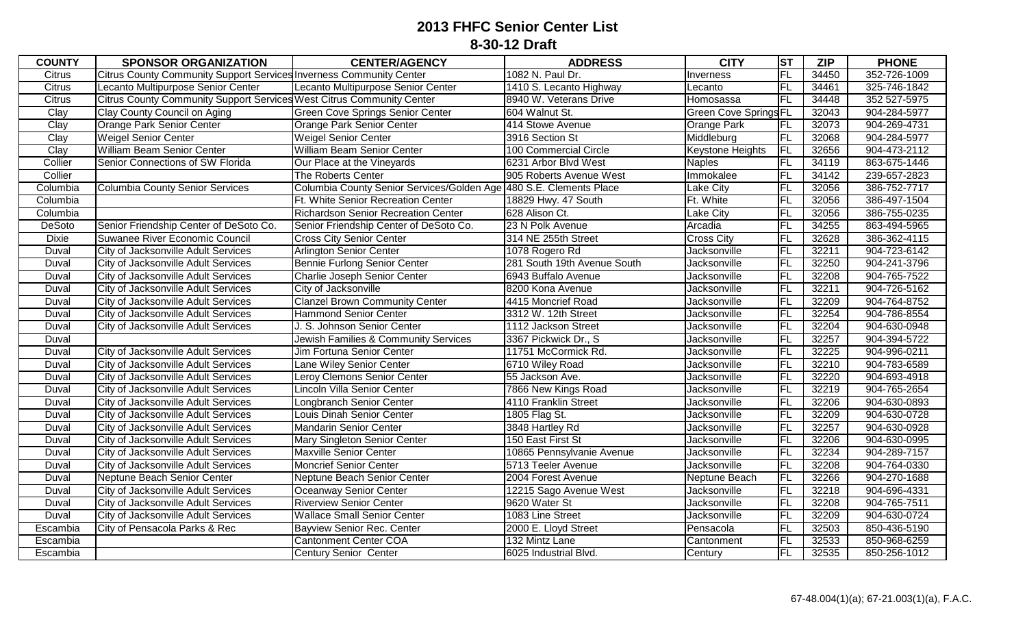| <b>COUNTY</b> | <b>SPONSOR ORGANIZATION</b>                                           | <b>CENTER/AGENCY</b>                                               | <b>ADDRESS</b>              | <b>CITY</b>                  | ST                       | <b>ZIP</b> | <b>PHONE</b> |
|---------------|-----------------------------------------------------------------------|--------------------------------------------------------------------|-----------------------------|------------------------------|--------------------------|------------|--------------|
| <b>Citrus</b> | Citrus County Community Support Services Inverness Community Center   |                                                                    | 1082 N. Paul Dr.            | Inverness                    | FL                       | 34450      | 352-726-1009 |
| <b>Citrus</b> | Lecanto Multipurpose Senior Center                                    | Lecanto Multipurpose Senior Center                                 | 1410 S. Lecanto Highway     | Lecanto                      | FL                       | 34461      | 325-746-1842 |
| <b>Citrus</b> | Citrus County Community Support Services West Citrus Community Center |                                                                    | 8940 W. Veterans Drive      | Homosassa                    | FL                       | 34448      | 352 527-5975 |
| Clay          | Clay County Council on Aging                                          | <b>Green Cove Springs Senior Center</b>                            | 604 Walnut St.              | <b>Green Cove Springs FL</b> |                          | 32043      | 904-284-5977 |
| Clay          | Orange Park Senior Center                                             | Orange Park Senior Center                                          | 414 Stowe Avenue            | <b>Orange Park</b>           | FL                       | 32073      | 904-269-4731 |
| Clay          | <b>Weigel Senior Center</b>                                           | <b>Weigel Senior Center</b>                                        | 3916 Section St             | Middleburg                   | FL                       | 32068      | 904-284-5977 |
| Clay          | <b>William Beam Senior Center</b>                                     | William Beam Senior Center                                         | 100 Commercial Circle       | Keystone Heights             | $\overline{\mathsf{FL}}$ | 32656      | 904-473-2112 |
| Collier       | Senior Connections of SW Florida                                      | Our Place at the Vineyards                                         | 6231 Arbor Blvd West        | Naples                       | FL                       | 34119      | 863-675-1446 |
| Collier       |                                                                       | The Roberts Center                                                 | 905 Roberts Avenue West     | Immokalee                    | FL                       | 34142      | 239-657-2823 |
| Columbia      | <b>Columbia County Senior Services</b>                                | Columbia County Senior Services/Golden Age 480 S.E. Clements Place |                             | Lake City                    | FL                       | 32056      | 386-752-7717 |
| Columbia      |                                                                       | <b>Ft. White Senior Recreation Center</b>                          | 18829 Hwy. 47 South         | Ft. White                    | FL                       | 32056      | 386-497-1504 |
| Columbia      |                                                                       | <b>Richardson Senior Recreation Center</b>                         | 628 Alison Ct.              | Lake City                    | FL                       | 32056      | 386-755-0235 |
| DeSoto        | Senior Friendship Center of DeSoto Co.                                | Senior Friendship Center of DeSoto Co.                             | 23 N Polk Avenue            | Arcadia                      | FL                       | 34255      | 863-494-5965 |
| <b>Dixie</b>  | Suwanee River Economic Council                                        | <b>Cross City Senior Center</b>                                    | 314 NE 255th Street         | <b>Cross City</b>            | $\overline{\mathsf{FL}}$ | 32628      | 386-362-4115 |
| Duval         | City of Jacksonville Adult Services                                   | Arlington Senior Center                                            | 1078 Rogero Rd              | Jacksonville                 | FL                       | 32211      | 904-723-6142 |
| Duval         | City of Jacksonville Adult Services                                   | <b>Bennie Furlong Senior Center</b>                                | 281 South 19th Avenue South | Jacksonville                 | FL                       | 32250      | 904-241-3796 |
| Duval         | City of Jacksonville Adult Services                                   | Charlie Joseph Senior Center                                       | 6943 Buffalo Avenue         | Jacksonville                 | FL                       | 32208      | 904-765-7522 |
| Duval         | City of Jacksonville Adult Services                                   | City of Jacksonville                                               | 8200 Kona Avenue            | Jacksonville                 | FL                       | 32211      | 904-726-5162 |
| Duval         | City of Jacksonville Adult Services                                   | <b>Clanzel Brown Community Center</b>                              | 4415 Moncrief Road          | Jacksonville                 | FL                       | 32209      | 904-764-8752 |
| Duval         | City of Jacksonville Adult Services                                   | <b>Hammond Senior Center</b>                                       | 3312 W. 12th Street         | Jacksonville                 | FL                       | 32254      | 904-786-8554 |
| Duval         | City of Jacksonville Adult Services                                   | J. S. Johnson Senior Center                                        | 1112 Jackson Street         | Jacksonville                 | FL                       | 32204      | 904-630-0948 |
| Duval         |                                                                       | Jewish Families & Community Services                               | 3367 Pickwick Dr., S        | Jacksonville                 | FL                       | 32257      | 904-394-5722 |
| Duval         | City of Jacksonville Adult Services                                   | Jim Fortuna Senior Center                                          | 11751 McCormick Rd.         | Jacksonville                 | FL                       | 32225      | 904-996-0211 |
| Duval         | City of Jacksonville Adult Services                                   | Lane Wiley Senior Center                                           | 6710 Wiley Road             | Jacksonville                 | FL                       | 32210      | 904-783-6589 |
| Duval         | City of Jacksonville Adult Services                                   | Leroy Clemons Senior Center                                        | 55 Jackson Ave.             | Jacksonville                 | FL                       | 32220      | 904-693-4918 |
| Duval         | City of Jacksonville Adult Services                                   | Lincoln Villa Senior Center                                        | 7866 New Kings Road         | Jacksonville                 | FL                       | 32219      | 904-765-2654 |
| Duval         | City of Jacksonville Adult Services                                   | <b>Longbranch Senior Center</b>                                    | 4110 Franklin Street        | Jacksonville                 | FL                       | 32206      | 904-630-0893 |
| Duval         | City of Jacksonville Adult Services                                   | Louis Dinah Senior Center                                          | 1805 Flag St.               | Jacksonville                 | FL                       | 32209      | 904-630-0728 |
| Duval         | City of Jacksonville Adult Services                                   | <b>Mandarin Senior Center</b>                                      | 3848 Hartley Rd             | Jacksonville                 | FL                       | 32257      | 904-630-0928 |
| Duval         | City of Jacksonville Adult Services                                   | Mary Singleton Senior Center                                       | 150 East First St           | Jacksonville                 | FL                       | 32206      | 904-630-0995 |
| Duval         | City of Jacksonville Adult Services                                   | Maxville Senior Center                                             | 10865 Pennsylvanie Avenue   | Jacksonville                 | FL                       | 32234      | 904-289-7157 |
| Duval         | City of Jacksonville Adult Services                                   | <b>Moncrief Senior Center</b>                                      | 5713 Teeler Avenue          | Jacksonville                 | FL                       | 32208      | 904-764-0330 |
| Duval         | Neptune Beach Senior Center                                           | Neptune Beach Senior Center                                        | 2004 Forest Avenue          | Neptune Beach                | FL                       | 32266      | 904-270-1688 |
| Duval         | City of Jacksonville Adult Services                                   | Oceanway Senior Center                                             | 12215 Sago Avenue West      | Jacksonville                 | FL                       | 32218      | 904-696-4331 |
| Duval         | City of Jacksonville Adult Services                                   | <b>Riverview Senior Center</b>                                     | 9620 Water St               | Jacksonville                 | FL                       | 32208      | 904-765-7511 |
| Duval         | City of Jacksonville Adult Services                                   | <b>Wallace Small Senior Center</b>                                 | 1083 Line Street            | Jacksonville                 | FL                       | 32209      | 904-630-0724 |
| Escambia      | City of Pensacola Parks & Rec                                         | Bayview Senior Rec. Center                                         | 2000 E. Lloyd Street        | Pensacola                    | F <sub>L</sub>           | 32503      | 850-436-5190 |
| Escambia      |                                                                       | <b>Cantonment Center COA</b>                                       | 132 Mintz Lane              | Cantonment                   | FL                       | 32533      | 850-968-6259 |
| Escambia      |                                                                       | <b>Century Senior Center</b>                                       | 6025 Industrial Blvd.       | Century                      | FL                       | 32535      | 850-256-1012 |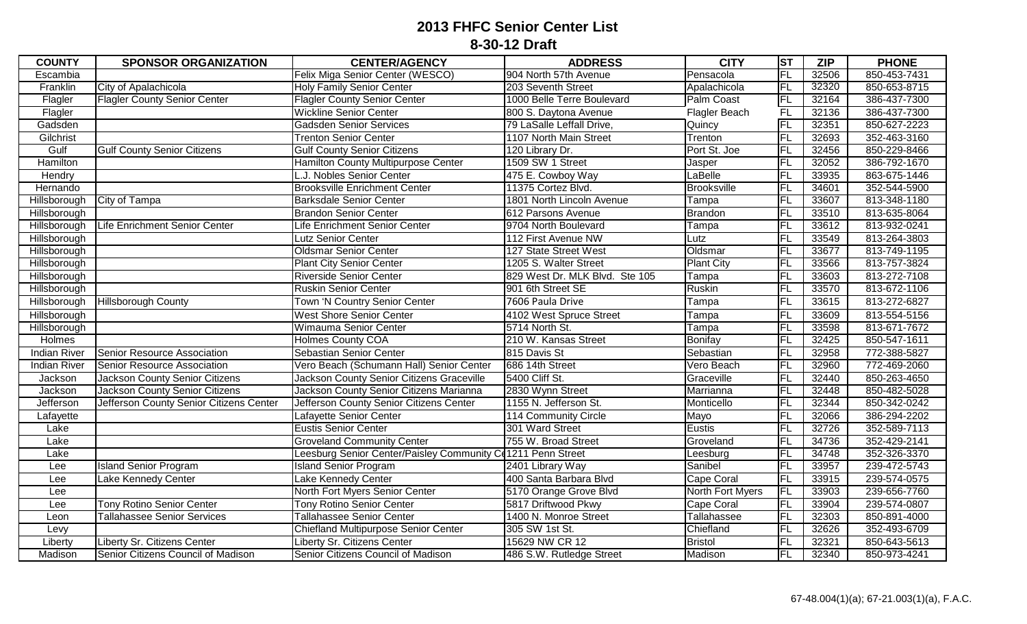| <b>COUNTY</b>       | <b>SPONSOR ORGANIZATION</b>             | <b>CENTER/AGENCY</b>                                         | <b>ADDRESS</b>                 | <b>CITY</b>        | <b>ST</b>       | <b>ZIP</b> | <b>PHONE</b> |
|---------------------|-----------------------------------------|--------------------------------------------------------------|--------------------------------|--------------------|-----------------|------------|--------------|
| Escambia            |                                         | Felix Miga Senior Center (WESCO)                             | 904 North 57th Avenue          | Pensacola          | FL              | 32506      | 850-453-7431 |
| Franklin            | City of Apalachicola                    | <b>Holy Family Senior Center</b>                             | 203 Seventh Street             | Apalachicola       | FL              | 32320      | 850-653-8715 |
| Flagler             | <b>Flagler County Senior Center</b>     | <b>Flagler County Senior Center</b>                          | 1000 Belle Terre Boulevard     | Palm Coast         | FL              | 32164      | 386-437-7300 |
| Flagler             |                                         | <b>Wickline Senior Center</b>                                | 800 S. Daytona Avenue          | Flagler Beach      | F <sub>L</sub>  | 32136      | 386-437-7300 |
| Gadsden             |                                         | Gadsden Senior Services                                      | 79 LaSalle Leffall Drive,      | Quincy             | FL              | 32351      | 850-627-2223 |
| Gilchrist           |                                         | <b>Trenton Senior Center</b>                                 | 1107 North Main Street         | Trenton            | <b>FL</b>       | 32693      | 352-463-3160 |
| Gulf                | <b>Gulf County Senior Citizens</b>      | <b>Gulf County Senior Citizens</b>                           | 120 Library Dr.                | Port St. Joe       | FL              | 32456      | 850-229-8466 |
| Hamilton            |                                         | Hamilton County Multipurpose Center                          | 1509 SW 1 Street               | Jasper             | FL              | 32052      | 386-792-1670 |
| Hendry              |                                         | L.J. Nobles Senior Center                                    | 475 E. Cowboy Way              | LaBelle            | FL              | 33935      | 863-675-1446 |
| Hernando            |                                         | <b>Brooksville Enrichment Center</b>                         | 11375 Cortez Blvd.             | <b>Brooksville</b> | FL              | 34601      | 352-544-5900 |
| Hillsborough        | City of Tampa                           | <b>Barksdale Senior Center</b>                               | 1801 North Lincoln Avenue      | Tampa              | FL              | 33607      | 813-348-1180 |
| Hillsborough        |                                         | <b>Brandon Senior Center</b>                                 | 612 Parsons Avenue             | Brandon            | FL              | 33510      | 813-635-8064 |
| Hillsborough        | Life Enrichment Senior Center           | Life Enrichment Senior Center                                | 9704 North Boulevard           | Tampa              | <b>FL</b>       | 33612      | 813-932-0241 |
| Hillsborough        |                                         | Lutz Senior Center                                           | 112 First Avenue NW            | Lutz               | FL              | 33549      | 813-264-3803 |
| Hillsborough        |                                         | Oldsmar Senior Center                                        | 127 State Street West          | Oldsmar            | F               | 33677      | 813-749-1195 |
| Hillsborough        |                                         | <b>Plant City Senior Center</b>                              | 1205 S. Walter Street          | <b>Plant City</b>  | FL              | 33566      | 813-757-3824 |
| Hillsborough        |                                         | <b>Riverside Senior Center</b>                               | 829 West Dr. MLK Blvd. Ste 105 | Tampa              | FL              | 33603      | 813-272-7108 |
| Hillsborough        |                                         | <b>Ruskin Senior Center</b>                                  | 901 6th Street SE              | <b>Ruskin</b>      | FL              | 33570      | 813-672-1106 |
| Hillsborough        | <b>Hillsborough County</b>              | Town 'N Country Senior Center                                | 7606 Paula Drive               | Tampa              | FL              | 33615      | 813-272-6827 |
| Hillsborough        |                                         | <b>West Shore Senior Center</b>                              | 4102 West Spruce Street        | Tampa              | <b>FL</b>       | 33609      | 813-554-5156 |
| Hillsborough        |                                         | Wimauma Senior Center                                        | 5714 North St.                 | Tampa              | <b>FL</b>       | 33598      | 813-671-7672 |
| Holmes              |                                         | <b>Holmes County COA</b>                                     | 210 W. Kansas Street           | <b>Bonifay</b>     | FL              | 32425      | 850-547-1611 |
| <b>Indian River</b> | Senior Resource Association             | Sebastian Senior Center                                      | 815 Davis St                   | Sebastian          | FL              | 32958      | 772-388-5827 |
| <b>Indian River</b> | Senior Resource Association             | Vero Beach (Schumann Hall) Senior Center                     | 686 14th Street                | Vero Beach         | $\overline{FL}$ | 32960      | 772-469-2060 |
| Jackson             | <b>Jackson County Senior Citizens</b>   | Jackson County Senior Citizens Graceville                    | 5400 Cliff St.                 | Graceville         | FL              | 32440      | 850-263-4650 |
| Jackson             | Jackson County Senior Citizens          | Jackson County Senior Citizens Marianna                      | 2830 Wynn Street               | Marrianna          | FL              | 32448      | 850-482-5028 |
| Jefferson           | Jefferson County Senior Citizens Center | Jefferson County Senior Citizens Center                      | 1155 N. Jefferson St.          | Monticello         | $\overline{FL}$ | 32344      | 850-342-0242 |
| Lafayette           |                                         | Lafayette Senior Center                                      | 114 Community Circle           | Mayo               | FL              | 32066      | 386-294-2202 |
| Lake                |                                         | <b>Eustis Senior Center</b>                                  | 301 Ward Street                | Eustis             | <b>FL</b>       | 32726      | 352-589-7113 |
| Lake                |                                         | <b>Groveland Community Center</b>                            | 755 W. Broad Street            | Groveland          | FL              | 34736      | 352-429-2141 |
| Lake                |                                         | Leesburg Senior Center/Paisley Community Ce 1211 Penn Street |                                | Leesburg           | FL              | 34748      | 352-326-3370 |
| Lee                 | <b>Island Senior Program</b>            | <b>Island Senior Program</b>                                 | 2401 Library Way               | Sanibel            | FL              | 33957      | 239-472-5743 |
| Lee                 | Lake Kennedy Center                     | Lake Kennedy Center                                          | 400 Santa Barbara Blvd         | Cape Coral         | FL              | 33915      | 239-574-0575 |
| Lee                 |                                         | North Fort Myers Senior Center                               | 5170 Orange Grove Blvd         | North Fort Myers   | FL              | 33903      | 239-656-7760 |
| Lee                 | <b>Tony Rotino Senior Center</b>        | <b>Tony Rotino Senior Center</b>                             | 5817 Driftwood Pkwy            | Cape Coral         | <b>FL</b>       | 33904      | 239-574-0807 |
| Leon                | <b>Tallahassee Senior Services</b>      | <b>Tallahassee Senior Center</b>                             | 1400 N. Monroe Street          | Tallahassee        | FL              | 32303      | 850-891-4000 |
| Levy                |                                         | Chiefland Multipurpose Senior Center                         | 305 SW 1st St.                 | Chiefland          | <b>FL</b>       | 32626      | 352-493-6709 |
| Liberty             | Liberty Sr. Citizens Center             | Liberty Sr. Citizens Center                                  | 15629 NW CR 12                 | <b>Bristol</b>     | FL              | 32321      | 850-643-5613 |
| Madison             | Senior Citizens Council of Madison      | Senior Citizens Council of Madison                           | 486 S.W. Rutledge Street       | Madison            | FL              | 32340      | 850-973-4241 |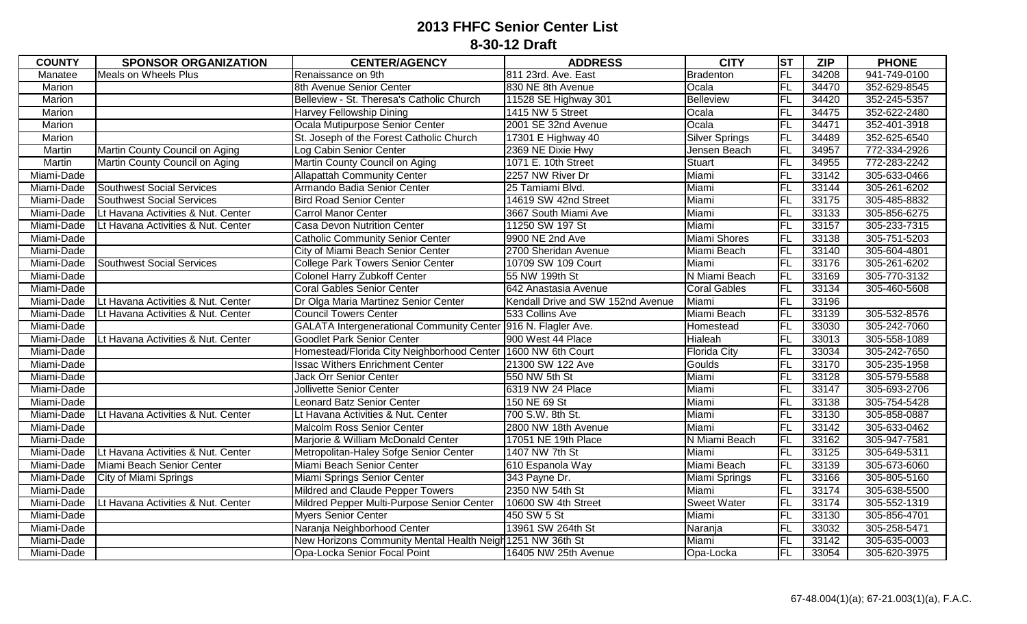| <b>COUNTY</b> | <b>SPONSOR ORGANIZATION</b>        | <b>CENTER/AGENCY</b>                                          | <b>ADDRESS</b>                    | <b>CITY</b>           | <b>ST</b> | <b>ZIP</b> | <b>PHONE</b> |
|---------------|------------------------------------|---------------------------------------------------------------|-----------------------------------|-----------------------|-----------|------------|--------------|
| Manatee       | Meals on Wheels Plus               | Renaissance on 9th                                            | 811 23rd. Ave. East               | Bradenton             | FL        | 34208      | 941-749-0100 |
| Marion        |                                    | 8th Avenue Senior Center                                      | 830 NE 8th Avenue                 | <b>Ocala</b>          | FL        | 34470      | 352-629-8545 |
| Marion        |                                    | Belleview - St. Theresa's Catholic Church                     | 11528 SE Highway 301              | <b>Belleview</b>      | FL        | 34420      | 352-245-5357 |
| Marion        |                                    | <b>Harvey Fellowship Dining</b>                               | 1415 NW 5 Street                  | Oca <sub>la</sub>     | F         | 34475      | 352-622-2480 |
| Marion        |                                    | Ocala Mutipurpose Senior Center                               | 2001 SE 32nd Avenue               | Ocala                 | FL        | 34471      | 352-401-3918 |
| Marion        |                                    | St. Joseph of the Forest Catholic Church                      | 17301 E Highway 40                | <b>Silver Springs</b> | F         | 34489      | 352-625-6540 |
| Martin        | Martin County Council on Aging     | Log Cabin Senior Center                                       | 2369 NE Dixie Hwy                 | Jensen Beach          | <b>FL</b> | 34957      | 772-334-2926 |
| Martin        | Martin County Council on Aging     | Martin County Council on Aging                                | 1071 E. 10th Street               | Stuart                | <b>FL</b> | 34955      | 772-283-2242 |
| Miami-Dade    |                                    | <b>Allapattah Community Center</b>                            | 2257 NW River Dr                  | Miami                 | FL        | 33142      | 305-633-0466 |
| Miami-Dade    | <b>Southwest Social Services</b>   | Armando Badia Senior Center                                   | 25 Tamiami Blvd.                  | Miami                 | <b>FL</b> | 33144      | 305-261-6202 |
| Miami-Dade    | Southwest Social Services          | <b>Bird Road Senior Center</b>                                | 14619 SW 42nd Street              | Miami                 | F         | 33175      | 305-485-8832 |
| Miami-Dade    | Lt Havana Activities & Nut. Center | <b>Carrol Manor Center</b>                                    | 3667 South Miami Ave              | Miami                 | <b>FL</b> | 33133      | 305-856-6275 |
| Miami-Dade    | Lt Havana Activities & Nut. Center | <b>Casa Devon Nutrition Center</b>                            | 11250 SW 197 St                   | Miami                 | <b>FL</b> | 33157      | 305-233-7315 |
| Miami-Dade    |                                    | <b>Catholic Community Senior Center</b>                       | 9900 NE 2nd Ave                   | Miami Shores          | <b>FL</b> | 33138      | 305-751-5203 |
| Miami-Dade    |                                    | City of Miami Beach Senior Center                             | 2700 Sheridan Avenue              | Miami Beach           | FL        | 33140      | 305-604-4801 |
| Miami-Dade    | <b>Southwest Social Services</b>   | <b>College Park Towers Senior Center</b>                      | 10709 SW 109 Court                | Miami                 | <b>FL</b> | 33176      | 305-261-6202 |
| Miami-Dade    |                                    | <b>Colonel Harry Zubkoff Center</b>                           | 55 NW 199th St                    | N Miami Beach         | FL        | 33169      | 305-770-3132 |
| Miami-Dade    |                                    | <b>Coral Gables Senior Center</b>                             | 642 Anastasia Avenue              | Coral Gables          | FL        | 33134      | 305-460-5608 |
| Miami-Dade    | Lt Havana Activities & Nut. Center | Dr Olga Maria Martinez Senior Center                          | Kendall Drive and SW 152nd Avenue | Miami                 | FL        | 33196      |              |
| Miami-Dade    | Lt Havana Activities & Nut. Center | <b>Council Towers Center</b>                                  | 533 Collins Ave                   | Miami Beach           | FL        | 33139      | 305-532-8576 |
| Miami-Dade    |                                    | GALATA Intergenerational Community Center 916 N. Flagler Ave. |                                   | Homestead             | FL        | 33030      | 305-242-7060 |
| Miami-Dade    | Lt Havana Activities & Nut. Center | <b>Goodlet Park Senior Center</b>                             | 900 West 44 Place                 | Hialeah               | <b>FL</b> | 33013      | 305-558-1089 |
| Miami-Dade    |                                    | Homestead/Florida City Neighborhood Center 1600 NW 6th Court  |                                   | <b>Florida City</b>   | <b>FL</b> | 33034      | 305-242-7650 |
| Miami-Dade    |                                    | <b>Issac Withers Enrichment Center</b>                        | 21300 SW 122 Ave                  | Goulds                | <b>FL</b> | 33170      | 305-235-1958 |
| Miami-Dade    |                                    | <b>Jack Orr Senior Center</b>                                 | 550 NW 5th St                     | Miami                 | FL        | 33128      | 305-579-5588 |
| Miami-Dade    |                                    | <b>Jollivette Senior Center</b>                               | 6319 NW 24 Place                  | Miami                 | FL        | 33147      | 305-693-2706 |
| Miami-Dade    |                                    | Leonard Batz Senior Center                                    | 150 NE 69 St                      | Miami                 | FL        | 33138      | 305-754-5428 |
| Miami-Dade    | Lt Havana Activities & Nut. Center | Lt Havana Activities & Nut. Center                            | 700 S.W. 8th St.                  | Miami                 | <b>FL</b> | 33130      | 305-858-0887 |
| Miami-Dade    |                                    | Malcolm Ross Senior Center                                    | 2800 NW 18th Avenue               | Miami                 | FL        | 33142      | 305-633-0462 |
| Miami-Dade    |                                    | Marjorie & William McDonald Center                            | 17051 NE 19th Place               | N Miami Beach         | FL        | 33162      | 305-947-7581 |
| Miami-Dade    | Lt Havana Activities & Nut. Center | Metropolitan-Haley Sofge Senior Center                        | 1407 NW 7th St                    | Miami                 | <b>FL</b> | 33125      | 305-649-5311 |
| Miami-Dade    | Miami Beach Senior Center          | Miami Beach Senior Center                                     | 610 Espanola Way                  | Miami Beach           | FL        | 33139      | 305-673-6060 |
| Miami-Dade    | City of Miami Springs              | Miami Springs Senior Center                                   | 343 Payne Dr.                     | Miami Springs         | <b>FL</b> | 33166      | 305-805-5160 |
| Miami-Dade    |                                    | Mildred and Claude Pepper Towers                              | 2350 NW 54th St                   | Miami                 | FL        | 33174      | 305-638-5500 |
| Miami-Dade    | Lt Havana Activities & Nut. Center | Mildred Pepper Multi-Purpose Senior Center                    | 10600 SW 4th Street               | <b>Sweet Water</b>    | FL        | 33174      | 305-552-1319 |
| Miami-Dade    |                                    | <b>Myers Senior Center</b>                                    | 450 SW 5 St                       | Miami                 | <b>FL</b> | 33130      | 305-856-4701 |
| Miami-Dade    |                                    | Naranja Neighborhood Center                                   | 13961 SW 264th St                 | Naranja               | FL        | 33032      | 305-258-5471 |
| Miami-Dade    |                                    | New Horizons Community Mental Health Neigh 1251 NW 36th St    |                                   | Miami                 | FL        | 33142      | 305-635-0003 |
| Miami-Dade    |                                    | Opa-Locka Senior Focal Point                                  | 16405 NW 25th Avenue              | Opa-Locka             | <b>FL</b> | 33054      | 305-620-3975 |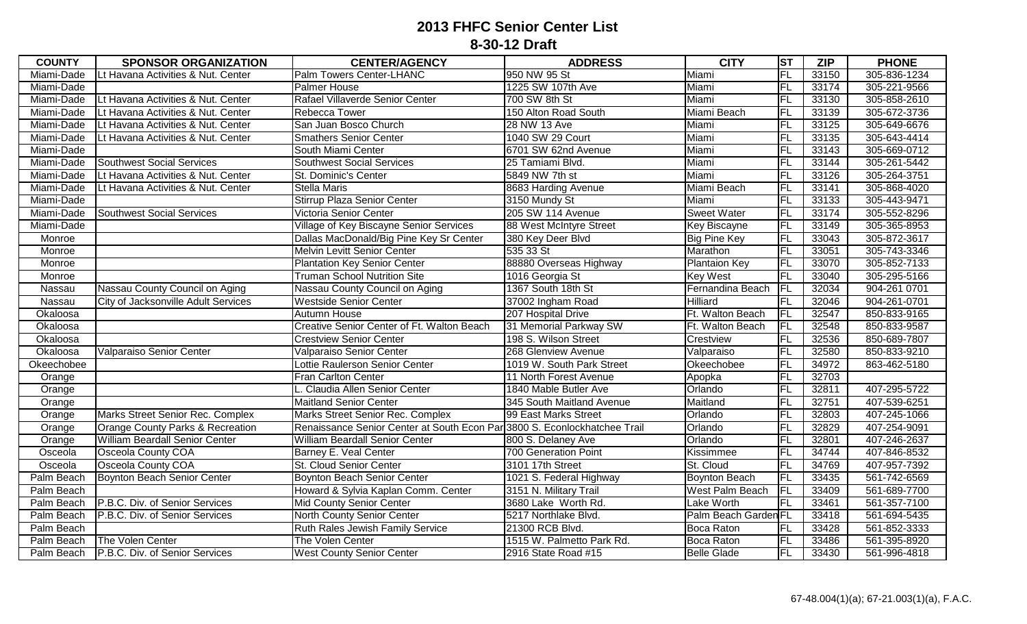| <b>COUNTY</b> | <b>SPONSOR ORGANIZATION</b>                 | <b>CENTER/AGENCY</b>                                                      | <b>ADDRESS</b>            | <b>CITY</b>          | <b>ST</b>      | <b>ZIP</b> | <b>PHONE</b> |
|---------------|---------------------------------------------|---------------------------------------------------------------------------|---------------------------|----------------------|----------------|------------|--------------|
| Miami-Dade    | Lt Havana Activities & Nut. Center          | Palm Towers Center-LHANC                                                  | 950 NW 95 St              | Miami                | FL             | 33150      | 305-836-1234 |
| Miami-Dade    |                                             | <b>Palmer House</b>                                                       | 1225 SW 107th Ave         | Miami                | FL             | 33174      | 305-221-9566 |
| Miami-Dade    | Lt Havana Activities & Nut. Center          | Rafael Villaverde Senior Center                                           | 700 SW 8th St             | Miami                | FL             | 33130      | 305-858-2610 |
| Miami-Dade    | Lt Havana Activities & Nut. Center          | Rebecca Tower                                                             | 150 Alton Road South      | Miami Beach          | FL             | 33139      | 305-672-3736 |
| Miami-Dade    | Lt Havana Activities & Nut. Center          | San Juan Bosco Church                                                     | 28 NW 13 Ave              | Miami                | FL             | 33125      | 305-649-6676 |
| Miami-Dade    | Lt Havana Activities & Nut. Center          | <b>Smathers Senior Center</b>                                             | 1040 SW 29 Court          | Miami                | FL             | 33135      | 305-643-4414 |
| Miami-Dade    |                                             | South Miami Center                                                        | 6701 SW 62nd Avenue       | Miami                | FL             | 33143      | 305-669-0712 |
| Miami-Dade    | Southwest Social Services                   | Southwest Social Services                                                 | 25 Tamiami Blvd.          | Miami                | FL             | 33144      | 305-261-5442 |
| Miami-Dade    | Lt Havana Activities & Nut. Center          | St. Dominic's Center                                                      | 5849 NW 7th st            | Miami                | FL             | 33126      | 305-264-3751 |
| Miami-Dade    | Lt Havana Activities & Nut. Center          | <b>Stella Maris</b>                                                       | 8683 Harding Avenue       | Miami Beach          | FL             | 33141      | 305-868-4020 |
| Miami-Dade    |                                             | <b>Stirrup Plaza Senior Center</b>                                        | 3150 Mundy St             | Miami                | FL             | 33133      | 305-443-9471 |
| Miami-Dade    | Southwest Social Services                   | Victoria Senior Center                                                    | 205 SW 114 Avenue         | Sweet Water          | FL             | 33174      | 305-552-8296 |
| Miami-Dade    |                                             | <b>Village of Key Biscayne Senior Services</b>                            | 88 West McIntyre Street   | Key Biscayne         | FL             | 33149      | 305-365-8953 |
| Monroe        |                                             | Dallas MacDonald/Big Pine Key Sr Center                                   | 380 Key Deer Blvd         | Big Pine Key         | FL             | 33043      | 305-872-3617 |
| Monroe        |                                             | Melvin Levitt Senior Center                                               | 535 33 St                 | Marathon             | FL             | 33051      | 305-743-3346 |
| Monroe        |                                             | <b>Plantation Key Senior Center</b>                                       | 88880 Overseas Highway    | <b>Plantaion Key</b> | FL             | 33070      | 305-852-7133 |
| Monroe        |                                             | <b>Truman School Nutrition Site</b>                                       | 1016 Georgia St           | <b>Key West</b>      | FL             | 33040      | 305-295-5166 |
| Nassau        | Nassau County Council on Aging              | Nassau County Council on Aging                                            | 1367 South 18th St        | Fernandina Beach     | FL             | 32034      | 904-261 0701 |
| Nassau        | City of Jacksonville Adult Services         | <b>Westside Senior Center</b>                                             | 37002 Ingham Road         | <b>Hilliard</b>      | FL             | 32046      | 904-261-0701 |
| Okaloosa      |                                             | Autumn House                                                              | 207 Hospital Drive        | Ft. Walton Beach     | FL             | 32547      | 850-833-9165 |
| Okaloosa      |                                             | Creative Senior Center of Ft. Walton Beach                                | 31 Memorial Parkway SW    | Ft. Walton Beach     | FL             | 32548      | 850-833-9587 |
| Okaloosa      |                                             | <b>Crestview Senior Center</b>                                            | 198 S. Wilson Street      | Crestview            | FL             | 32536      | 850-689-7807 |
| Okaloosa      | Valparaiso Senior Center                    | Valparaiso Senior Center                                                  | 268 Glenview Avenue       | Valparaiso           | FL             | 32580      | 850-833-9210 |
| Okeechobee    |                                             | Lottie Raulerson Senior Center                                            | 1019 W. South Park Street | Okeechobee           | FL             | 34972      | 863-462-5180 |
| Orange        |                                             | Fran Carlton Center                                                       | 11 North Forest Avenue    | Apopka               | FL             | 32703      |              |
| Orange        |                                             | L. Claudia Allen Senior Center                                            | 1840 Mable Butler Ave     | Orlando              | FL             | 32811      | 407-295-5722 |
| Orange        |                                             | <b>Maitland Senior Center</b>                                             | 345 South Maitland Avenue | Maitland             | FL             | 32751      | 407-539-6251 |
| Orange        | Marks Street Senior Rec. Complex            | Marks Street Senior Rec. Complex                                          | 99 East Marks Street      | Orlando              | FL             | 32803      | 407-245-1066 |
| Orange        | <b>Orange County Parks &amp; Recreation</b> | Renaissance Senior Center at South Econ Par 3800 S. Econlockhatchee Trail |                           | Orlando              | FL             | 32829      | 407-254-9091 |
| Orange        | William Beardall Senior Center              | William Beardall Senior Center                                            | 800 S. Delaney Ave        | Orlando              | FL             | 32801      | 407-246-2637 |
| Osceola       | Osceola County COA                          | Barney E. Veal Center                                                     | 700 Generation Point      | Kissimmee            | FL             | 34744      | 407-846-8532 |
| Osceola       | Osceola County COA                          | St. Cloud Senior Center                                                   | 3101 17th Street          | St. Cloud            | FL             | 34769      | 407-957-7392 |
| Palm Beach    | <b>Boynton Beach Senior Center</b>          | <b>Boynton Beach Senior Center</b>                                        | 1021 S. Federal Highway   | <b>Boynton Beach</b> | FL             | 33435      | 561-742-6569 |
| Palm Beach    |                                             | Howard & Sylvia Kaplan Comm. Center                                       | 3151 N. Military Trail    | West Palm Beach      | F <sub>L</sub> | 33409      | 561-689-7700 |
| Palm Beach    | P.B.C. Div. of Senior Services              | <b>Mid County Senior Center</b>                                           | 3680 Lake Worth Rd.       | Lake Worth           | FL             | 33461      | 561-357-7100 |
| Palm Beach    | P.B.C. Div. of Senior Services              | <b>North County Senior Center</b>                                         | 5217 Northlake Blvd.      | Palm Beach Garden FL |                | 33418      | 561-694-5435 |
| Palm Beach    |                                             | Ruth Rales Jewish Family Service                                          | 21300 RCB Blvd            | <b>Boca Raton</b>    | FL             | 33428      | 561-852-3333 |
| Palm Beach    | The Volen Center                            | The Volen Center                                                          | 1515 W. Palmetto Park Rd. | Boca Raton           | FL             | 33486      | 561-395-8920 |
| Palm Beach    | P.B.C. Div. of Senior Services              | <b>West County Senior Center</b>                                          | 2916 State Road #15       | <b>Belle Glade</b>   | FL             | 33430      | 561-996-4818 |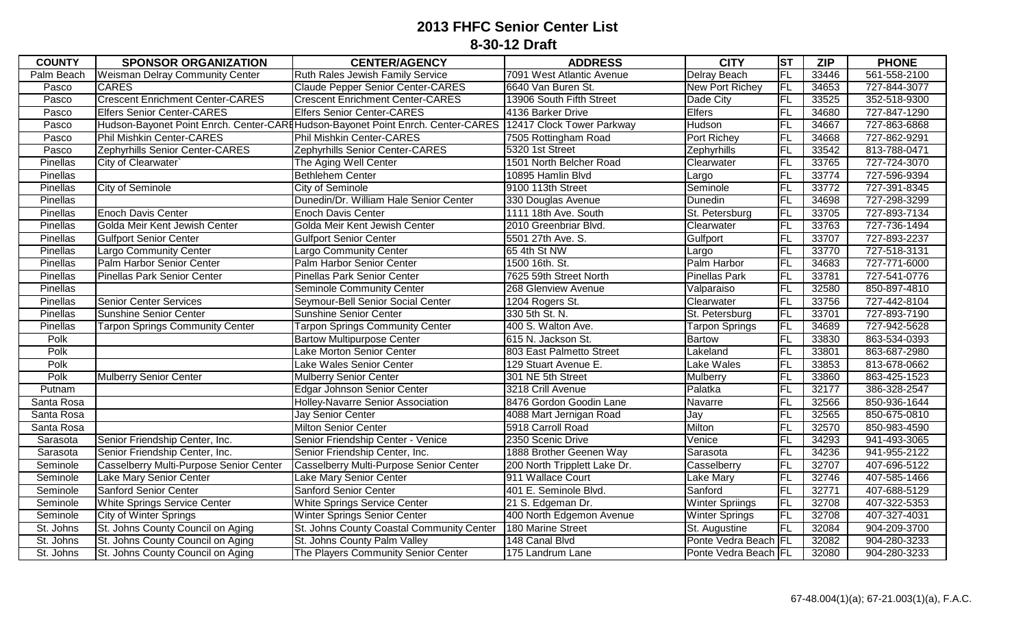| <b>COUNTY</b> | <b>SPONSOR ORGANIZATION</b>             | <b>CENTER/AGENCY</b>                                                                                        | <b>ADDRESS</b>               | <b>CITY</b>            | ST             | <b>ZIP</b> | <b>PHONE</b> |
|---------------|-----------------------------------------|-------------------------------------------------------------------------------------------------------------|------------------------------|------------------------|----------------|------------|--------------|
| Palm Beach    | <b>Weisman Delray Community Center</b>  | Ruth Rales Jewish Family Service                                                                            | 7091 West Atlantic Avenue    | Delray Beach           | FL             | 33446      | 561-558-2100 |
| Pasco         | <b>CARES</b>                            | <b>Claude Pepper Senior Center-CARES</b>                                                                    | 6640 Van Buren St.           | New Port Richey        | FL             | 34653      | 727-844-3077 |
| Pasco         | <b>Crescent Enrichment Center-CARES</b> | <b>Crescent Enrichment Center-CARES</b>                                                                     | 13906 South Fifth Street     | Dade City              | FL             | 33525      | 352-518-9300 |
| Pasco         | <b>Elfers Senior Center-CARES</b>       | <b>Elfers Senior Center-CARES</b>                                                                           | 4136 Barker Drive            | <b>Elfers</b>          | FL             | 34680      | 727-847-1290 |
| Pasco         |                                         | Hudson-Bayonet Point Enrch. Center-CAREHudson-Bayonet Point Enrch. Center-CARES   12417 Clock Tower Parkway |                              | Hudson                 | FL             | 34667      | 727-863-6868 |
| Pasco         | <b>Phil Mishkin Center-CARES</b>        | <b>Phil Mishkin Center-CARES</b>                                                                            | 7505 Rottingham Road         | Port Richey            | FL             | 34668      | 727-862-9291 |
| Pasco         | Zephyrhills Senior Center-CARES         | Zephyrhills Senior Center-CARES                                                                             | 5320 1st Street              | Zephyrhills            | FL             | 33542      | 813-788-0471 |
| Pinellas      | City of Clearwater                      | The Aging Well Center                                                                                       | 1501 North Belcher Road      | Clearwater             | FL             | 33765      | 727-724-3070 |
| Pinellas      |                                         | <b>Bethlehem Center</b>                                                                                     | 10895 Hamlin Blvd            | Largo                  | FL             | 33774      | 727-596-9394 |
| Pinellas      | City of Seminole                        | City of Seminole                                                                                            | 9100 113th Street            | Seminole               | FL             | 33772      | 727-391-8345 |
| Pinellas      |                                         | Dunedin/Dr. William Hale Senior Center                                                                      | 330 Douglas Avenue           | Dunedin                | FL             | 34698      | 727-298-3299 |
| Pinellas      | <b>Enoch Davis Center</b>               | <b>Enoch Davis Center</b>                                                                                   | 1111 18th Ave. South         | St. Petersburg         | F <sub>L</sub> | 33705      | 727-893-7134 |
| Pinellas      | Golda Meir Kent Jewish Center           | Golda Meir Kent Jewish Center                                                                               | 2010 Greenbriar Blvd.        | Clearwater             | <b>FL</b>      | 33763      | 727-736-1494 |
| Pinellas      | <b>Gulfport Senior Center</b>           | <b>Gulfport Senior Center</b>                                                                               | 5501 27th Ave. S.            | Gulfport               | FL             | 33707      | 727-893-2237 |
| Pinellas      | <b>Largo Community Center</b>           | <b>Largo Community Center</b>                                                                               | 65 4th St NW                 | Largo                  | FL             | 33770      | 727-518-3131 |
| Pinellas      | Palm Harbor Senior Center               | Palm Harbor Senior Center                                                                                   | 1500 16th. St.               | Palm Harbor            | FL             | 34683      | 727-771-6000 |
| Pinellas      | Pinellas Park Senior Center             | <b>Pinellas Park Senior Center</b>                                                                          | 7625 59th Street North       | Pinellas Park          | FL             | 33781      | 727-541-0776 |
| Pinellas      |                                         | Seminole Community Center                                                                                   | 268 Glenview Avenue          | Valparaiso             | FL             | 32580      | 850-897-4810 |
| Pinellas      | <b>Senior Center Services</b>           | Seymour-Bell Senior Social Center                                                                           | 1204 Rogers St.              | Clearwater             | FL             | 33756      | 727-442-8104 |
| Pinellas      | <b>Sunshine Senior Center</b>           | <b>Sunshine Senior Center</b>                                                                               | 330 5th St. N.               | St. Petersburg         | FL             | 33701      | 727-893-7190 |
| Pinellas      | <b>Tarpon Springs Community Center</b>  | <b>Tarpon Springs Community Center</b>                                                                      | 400 S. Walton Ave.           | <b>Tarpon Springs</b>  | FL             | 34689      | 727-942-5628 |
| Polk          |                                         | <b>Bartow Multipurpose Center</b>                                                                           | 615 N. Jackson St.           | Bartow                 | FL             | 33830      | 863-534-0393 |
| Polk          |                                         | Lake Morton Senior Center                                                                                   | 803 East Palmetto Street     | Lakeland               | FL             | 33801      | 863-687-2980 |
| Polk          |                                         | Lake Wales Senior Center                                                                                    | 129 Stuart Avenue E.         | Lake Wales             | FL             | 33853      | 813-678-0662 |
| Polk          | <b>Mulberry Senior Center</b>           | <b>Mulberry Senior Center</b>                                                                               | 301 NE 5th Street            | Mulberry               | FL             | 33860      | 863-425-1523 |
| Putnam        |                                         | Edgar Johnson Senior Center                                                                                 | 3218 Crill Avenue            | Palatka                | FL             | 32177      | 386-328-2547 |
| Santa Rosa    |                                         | <b>Holley-Navarre Senior Association</b>                                                                    | 8476 Gordon Goodin Lane      | Navarre                | FL             | 32566      | 850-936-1644 |
| Santa Rosa    |                                         | Jay Senior Center                                                                                           | 4088 Mart Jernigan Road      | Jay                    | FL             | 32565      | 850-675-0810 |
| Santa Rosa    |                                         | <b>Milton Senior Center</b>                                                                                 | 5918 Carroll Road            | Milton                 | FL             | 32570      | 850-983-4590 |
| Sarasota      | Senior Friendship Center, Inc.          | Senior Friendship Center - Venice                                                                           | 2350 Scenic Drive            | Venice                 | FL             | 34293      | 941-493-3065 |
| Sarasota      | Senior Friendship Center, Inc.          | Senior Friendship Center, Inc.                                                                              | 1888 Brother Geenen Way      | Sarasota               | FL             | 34236      | 941-955-2122 |
| Seminole      | Casselberry Multi-Purpose Senior Center | Casselberry Multi-Purpose Senior Center                                                                     | 200 North Tripplett Lake Dr. | Casselberry            | FL             | 32707      | 407-696-5122 |
| Seminole      | Lake Mary Senior Center                 | Lake Mary Senior Center                                                                                     | 911 Wallace Court            | Lake Mary              | FL             | 32746      | 407-585-1466 |
| Seminole      | <b>Sanford Senior Center</b>            | <b>Sanford Senior Center</b>                                                                                | 401 E. Seminole Blvd.        | Sanford                | F <sub>L</sub> | 32771      | 407-688-5129 |
| Seminole      | White Springs Service Center            | White Springs Service Center                                                                                | 21 S. Edgeman Dr.            | <b>Winter Spriings</b> | FL             | 32708      | 407-322-5353 |
| Seminole      | <b>City of Winter Springs</b>           | Winter Springs Senior Center                                                                                | 400 North Edgemon Avenue     | <b>Winter Springs</b>  | F <sub>L</sub> | 32708      | 407-327-4031 |
| St. Johns     | St. Johns County Council on Aging       | St. Johns County Coastal Community Center                                                                   | 180 Marine Street            | St. Augustine          | FL             | 32084      | 904-209-3700 |
| St. Johns     | St. Johns County Council on Aging       | St. Johns County Palm Valley                                                                                | 148 Canal Blvd               | Ponte Vedra Beach FL   |                | 32082      | 904-280-3233 |
| St. Johns     | St. Johns County Council on Aging       | The Players Community Senior Center                                                                         | 175 Landrum Lane             | Ponte Vedra Beach FL   |                | 32080      | 904-280-3233 |